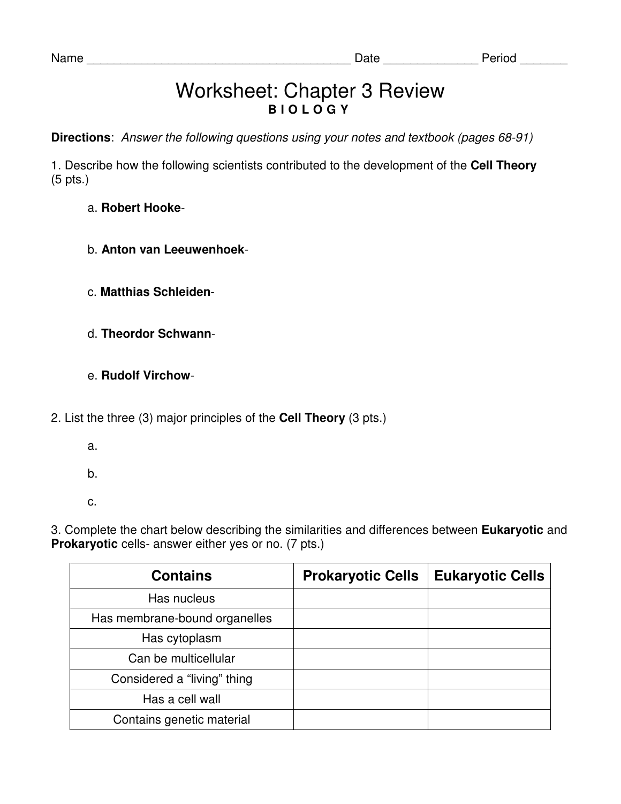## Worksheet: Chapter 3 Review **B I O L O G Y**

**Directions**: Answer the following questions using your notes and textbook (pages 68-91)

1. Describe how the following scientists contributed to the development of the **Cell Theory**  (5 pts.)

## a. **Robert Hooke**-

- b. **Anton van Leeuwenhoek**-
- c. **Matthias Schleiden**-
- d. **Theordor Schwann**-
- e. **Rudolf Virchow**-
- 2. List the three (3) major principles of the **Cell Theory** (3 pts.)
	- a.
	- b.
	- c.

3. Complete the chart below describing the similarities and differences between **Eukaryotic** and **Prokaryotic** cells- answer either yes or no. (7 pts.)

| <b>Contains</b>               | <b>Prokaryotic Cells</b> | <b>Eukaryotic Cells</b> |
|-------------------------------|--------------------------|-------------------------|
| Has nucleus                   |                          |                         |
| Has membrane-bound organelles |                          |                         |
| Has cytoplasm                 |                          |                         |
| Can be multicellular          |                          |                         |
| Considered a "living" thing   |                          |                         |
| Has a cell wall               |                          |                         |
| Contains genetic material     |                          |                         |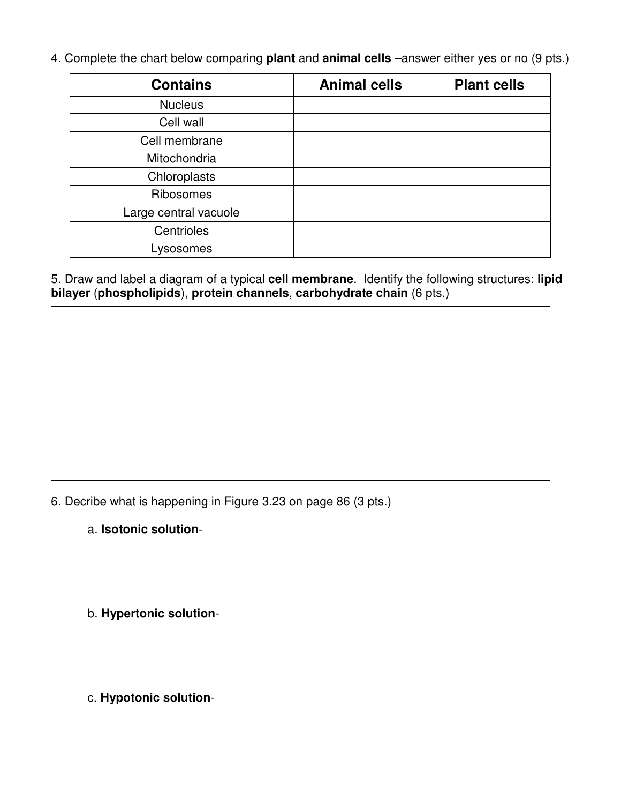4. Complete the chart below comparing **plant** and **animal cells** –answer either yes or no (9 pts.)

| <b>Contains</b>       | <b>Animal cells</b> | <b>Plant cells</b> |
|-----------------------|---------------------|--------------------|
| <b>Nucleus</b>        |                     |                    |
| Cell wall             |                     |                    |
| Cell membrane         |                     |                    |
| Mitochondria          |                     |                    |
| Chloroplasts          |                     |                    |
| Ribosomes             |                     |                    |
| Large central vacuole |                     |                    |
| Centrioles            |                     |                    |
| Lysosomes             |                     |                    |

5. Draw and label a diagram of a typical **cell membrane**. Identify the following structures: **lipid bilayer** (**phospholipids**), **protein channels**, **carbohydrate chain** (6 pts.)

6. Decribe what is happening in Figure 3.23 on page 86 (3 pts.)

a. **Isotonic solution**-

b. **Hypertonic solution**-

c. **Hypotonic solution**-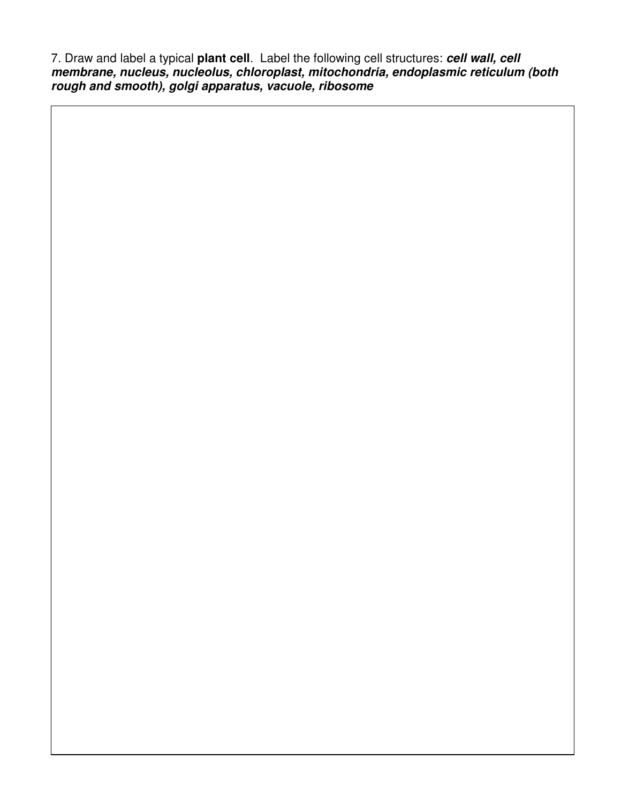7. Draw and label a typical **plant cell**. Label the following cell structures: **cell wall, cell membrane, nucleus, nucleolus, chloroplast, mitochondria, endoplasmic reticulum (both rough and smooth), golgi apparatus, vacuole, ribosome**